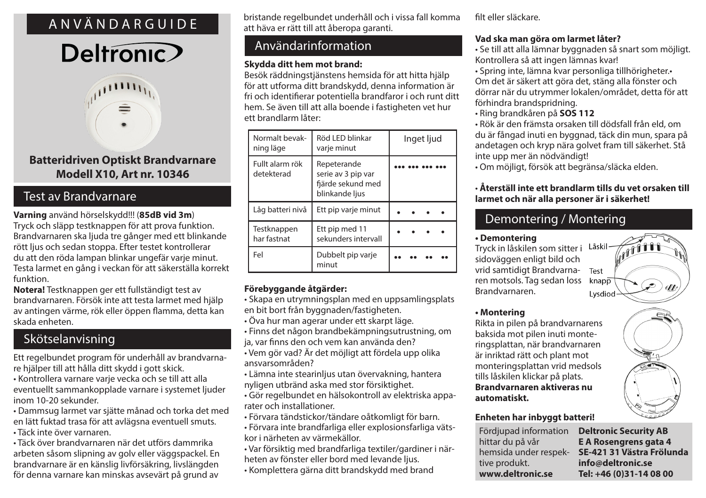## ANVÄNDARGUIDE

# Deltronic



## **Batteridriven Optiskt Brandvarnare Modell X10, Art nr. 10346**

## Test av Brandvarnare

**Varning** använd hörselskydd!!! (**85dB vid 3m**) Tryck och släpp testknappen för att prova funktion. Brandvarnaren ska ljuda tre gånger med ett blinkande rött ljus och sedan stoppa. Efter testet kontrollerar du att den röda lampan blinkar ungefär varje minut. Testa larmet en gång i veckan för att säkerställa korrekt funktion.

**Notera!** Testknappen ger ett fullständigt test av brandvarnaren. Försök inte att testa larmet med hjälp av antingen värme, rök eller öppen flamma, detta kan skada enheten.

## Skötselanvisning

Ett regelbundet program för underhåll av brandvarnare hjälper till att hålla ditt skydd i gott skick.

• Kontrollera varnare varje vecka och se till att alla eventuellt sammankopplade varnare i systemet ljuder inom 10-20 sekunder.

• Dammsug larmet var sjätte månad och torka det med en lätt fuktad trasa för att avlägsna eventuell smuts.

• Täck inte över varnaren.

• Täck över brandvarnaren när det utförs dammrika arbeten såsom slipning av golv eller väggspackel. En brandvarnare är en känslig livförsäkring, livslängden för denna varnare kan minskas avsevärt på grund av

bristande regelbundet underhåll och i vissa fall komma att häva er rätt till att åberopa garanti.

## Användarinformation

### **Skydda ditt hem mot brand:**

Besök räddningstjänstens hemsida för att hitta hjälp för att utforma ditt brandskydd, denna information är fri och identifierar potentiella brandfaror i och runt ditt hem. Se även till att alla boende i fastigheten vet hur ett brandlarm låter:

| Normalt bevak-<br>ning läge   | Röd LED blinkar<br>varje minut                                           | Inget ljud |
|-------------------------------|--------------------------------------------------------------------------|------------|
| Fullt alarm rök<br>detekterad | Repeterande<br>serie av 3 pip var<br>fjärde sekund med<br>blinkande ljus |            |
| Låg batteri nivå              | Ett pip varje minut                                                      |            |
| Testknappen<br>har fastnat    | Ett pip med 11<br>sekunders intervall                                    |            |
| Fel                           | Dubbelt pip varje<br>minut                                               |            |

## **Förebyggande åtgärder:**

- Skapa en utrymningsplan med en uppsamlingsplats en bit bort från byggnaden/fastigheten.
- Öva hur man agerar under ett skarpt läge.
- Finns det någon brandbekämpningsutrustning, om ja, var finns den och vem kan använda den?
- Vem gör vad? Är det möjligt att fördela upp olika ansvarsområden?
- Lämna inte stearinljus utan övervakning, hantera nyligen utbränd aska med stor försiktighet.
- Gör regelbundet en hälsokontroll av elektriska apparater och installationer.
- Förvara tändstickor/tändare oåtkomligt för barn.
- Förvara inte brandfarliga eller explosionsfarliga vätskor i närheten av värmekällor.

• Var försiktig med brandfarliga textiler/gardiner i närheten av fönster eller bord med levande ljus.

• Komplettera gärna ditt brandskydd med brand

filt eller släckare.

## **Vad ska man göra om larmet låter?**

• Se till att alla lämnar byggnaden så snart som möjligt. Kontrollera så att ingen lämnas kvar!

• Spring inte, lämna kvar personliga tillhörigheter.• Om det är säkert att göra det, stäng alla fönster och dörrar när du utrymmer lokalen/området, detta för att förhindra brandspridning.

• Ring brandkåren på **SOS 112**

• Rök är den främsta orsaken till dödsfall från eld, om du är fångad inuti en byggnad, täck din mun, spara på andetagen och kryp nära golvet fram till säkerhet. Stå inte upp mer än nödvändigt!

• Om möjligt, försök att begränsa/släcka elden.

### • **Återställ inte ett brandlarm tills du vet orsaken till larmet och när alla personer är i säkerhet!**

## Demontering / Montering

### **• Demontering**

Tryck in låskilen som sitter i sidoväggen enligt bild och vrid samtidigt Brandvarna-Test ren motsols. Tag sedan loss  $k$ nap $\overline{p}$ Brandvarnaren. Lysdiod



Rikta in pilen på brandvarnarens baksida mot pilen inuti monteringsplattan, när brandvarnaren är inriktad rätt och plant mot monteringsplattan vrid medsols tills låskilen klickar på plats. **Brandvarnaren aktiveras nu automatiskt.**

### **Enheten har inbyggt batteri!**

Fördjupad information **Deltronic Security AB** hittar du på vår tive produkt. **www.deltronic.se**

**E A Rosengrens gata 4** hemsida under respek- SE-421 31 Västra Frölunda **info@deltronic.se Tel: +46 (0)31-14 08 00**